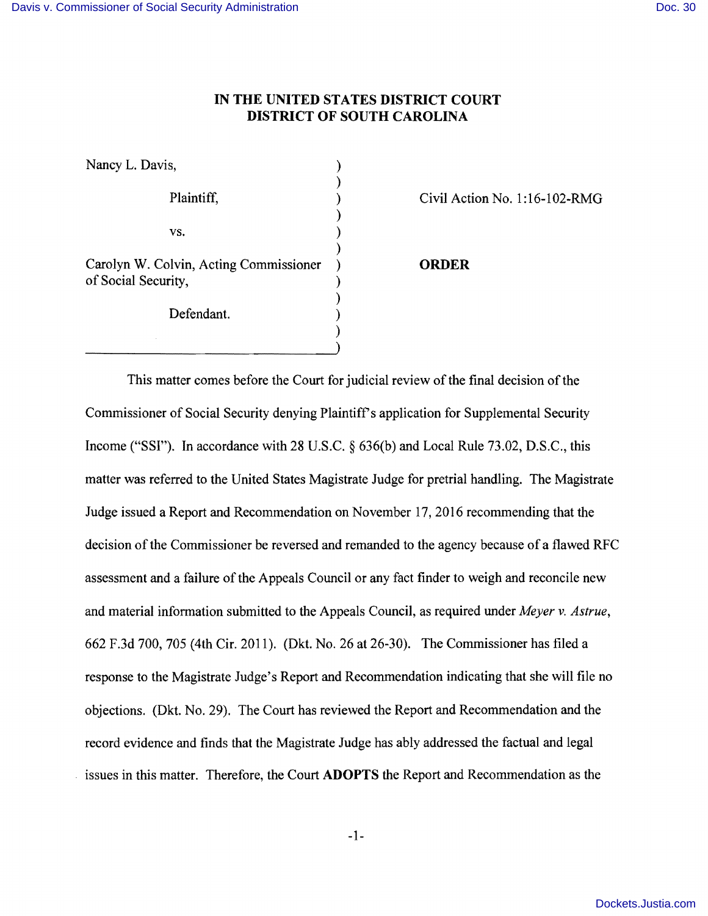## **IN THE UNITED STATES DISTRICT COURT DISTRICT OF SOUTH CAROLINA**

Nancy L. Davis,  $\qquad \qquad$ ) ) )  $\mathbf{v}\mathbf{s}$ .  $\qquad \qquad$  ) ) Carolyn W. Colvin, Acting Commissioner ) **ORDER**  of Social Security, ) Defendant. )

Plaintiff,  $Civil Action No. 1:16-102-RMG$ 

This matter comes before the Court for judicial review of the final decision of the Commissioner of Social Security denying Plaintiff's application for Supplemental Security Income ("SSI"). In accordance with 28 U.S.C. § 636(b) and Local Rule 73.02, D.S.C., this matter was referred to the United States Magistrate Judge for pretrial handling. The Magistrate Judge issued a Report and Recommendation on November 17, 2016 recommending that the decision of the Commissioner be reversed and remanded to the agency because of a flawed RFC assessment and a failure of the Appeals Council or any fact finder to weigh and reconcile new and material information submitted to the Appeals Council, as required under *Meyer* v. *Astrue,*  662 F.3d 700, 705 (4th Cir. 2011). (Dkt. No. 26 at 26-30). The Commissioner has filed a response to the Magistrate Judge's Report and Recommendation indicating that she will file no objections. (Dkt. No. 29), The Court has reviewed the Report and Recommendation and the record evidence and finds that the Magistrate Judge has ably addressed the factual and legal issues in this matter. Therefore, the Court **ADOPTS** the Report and Recommendation as the